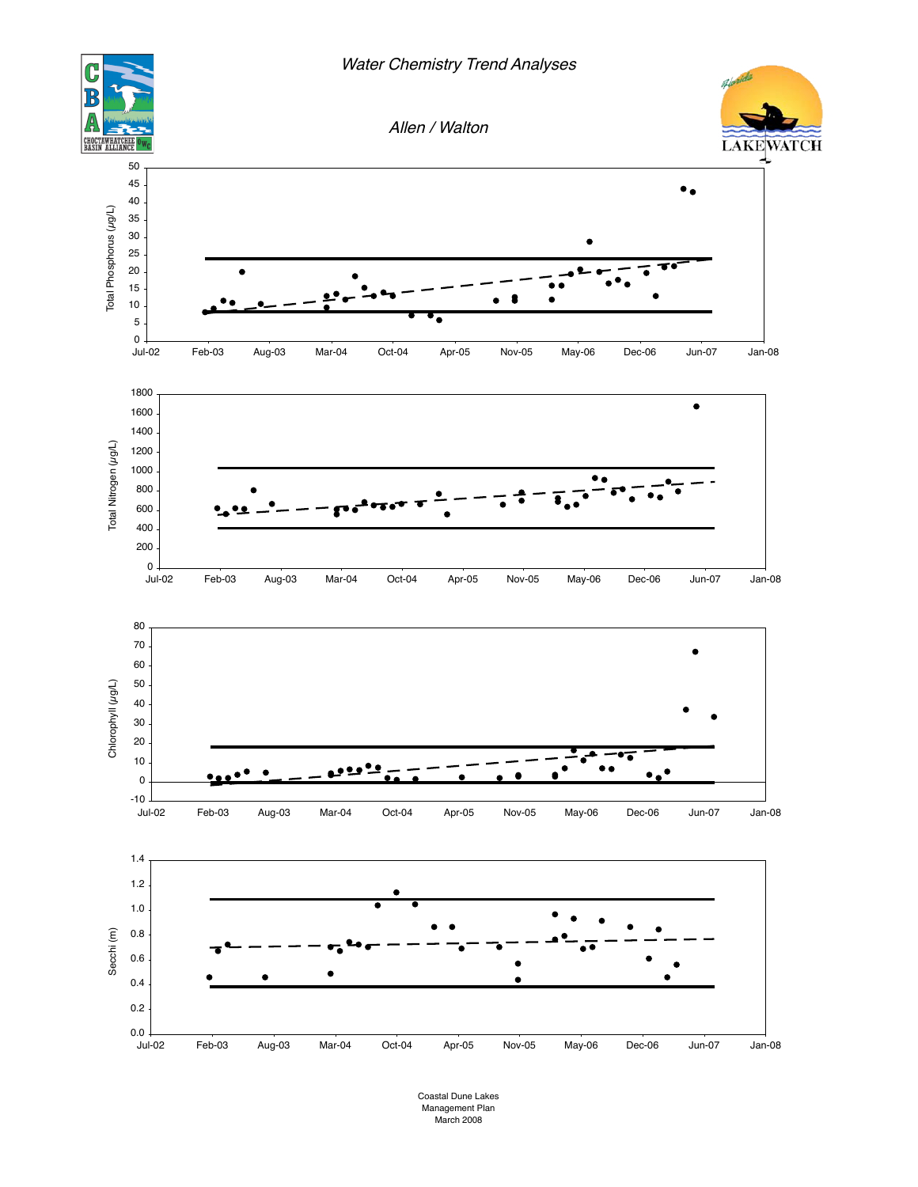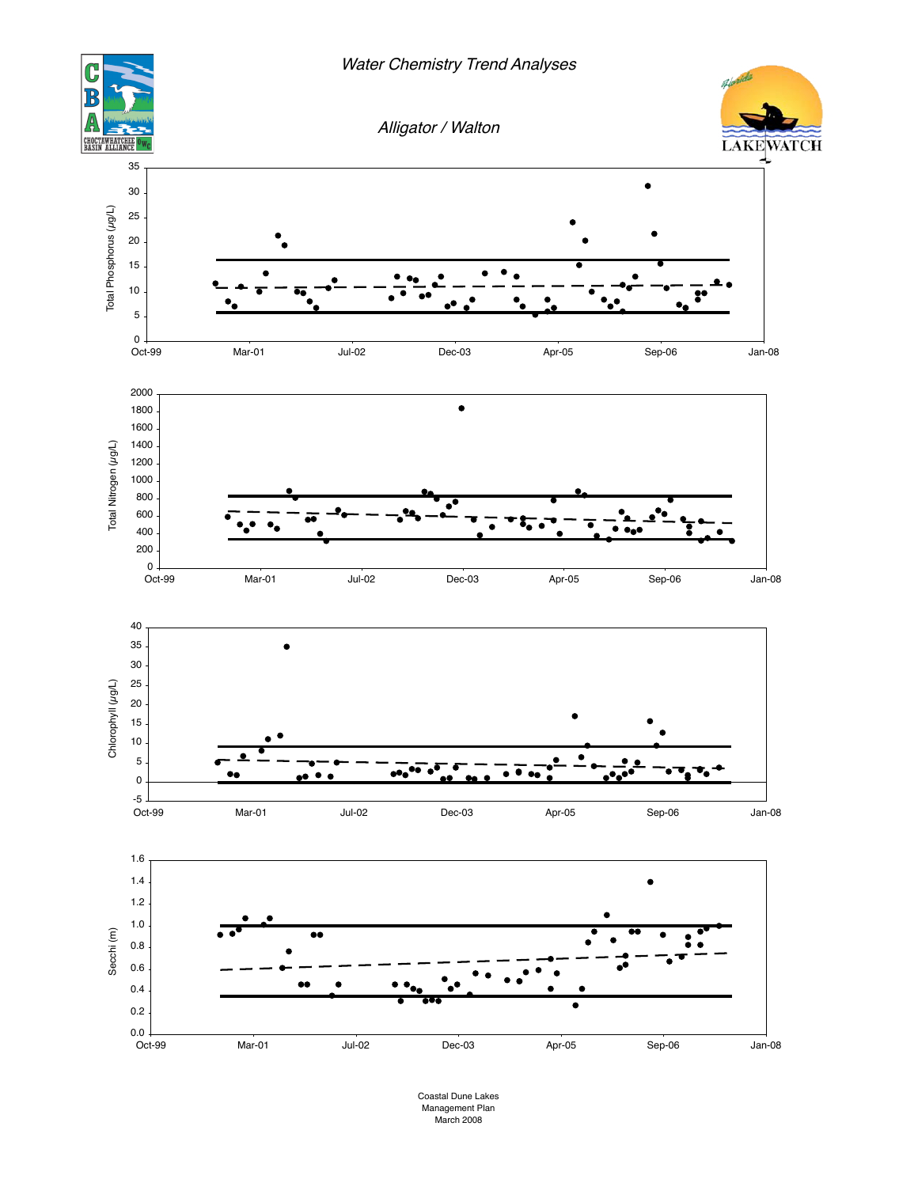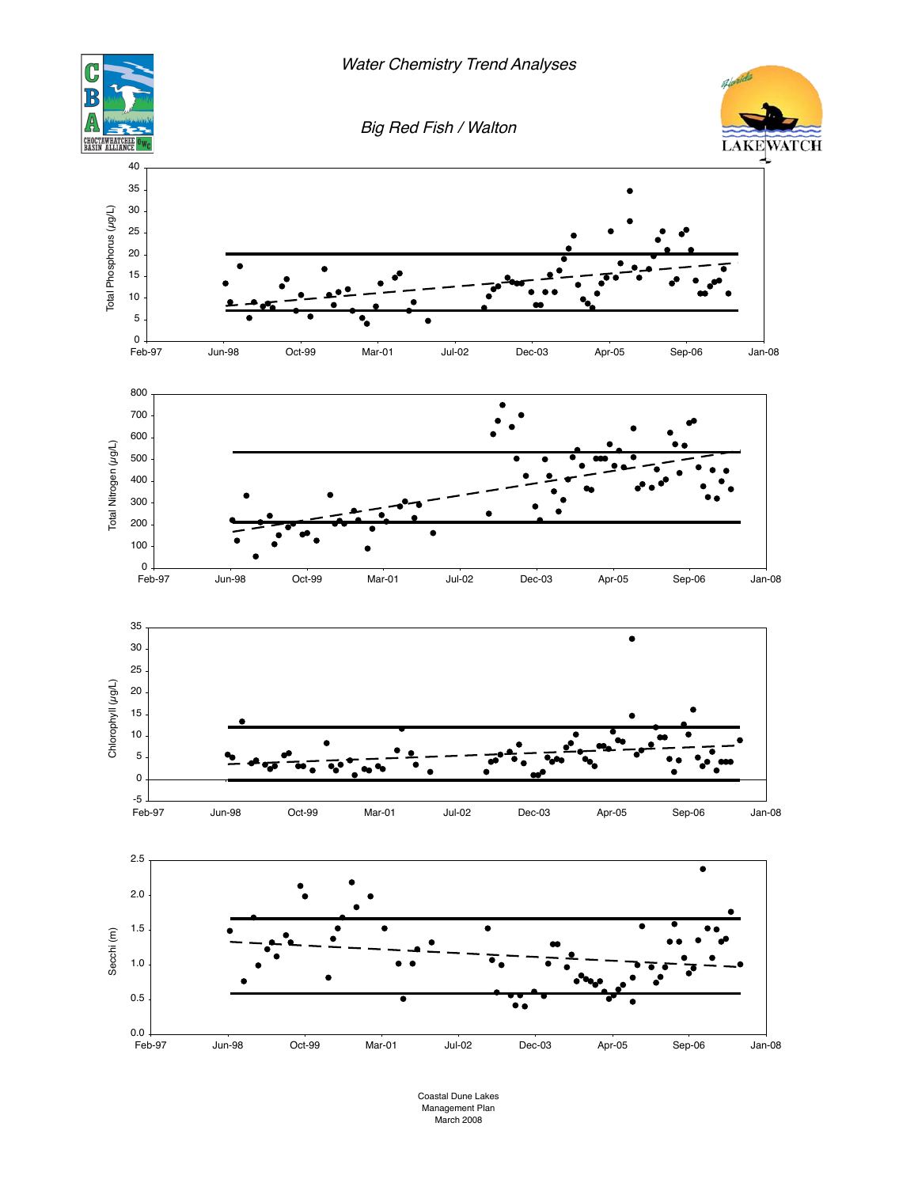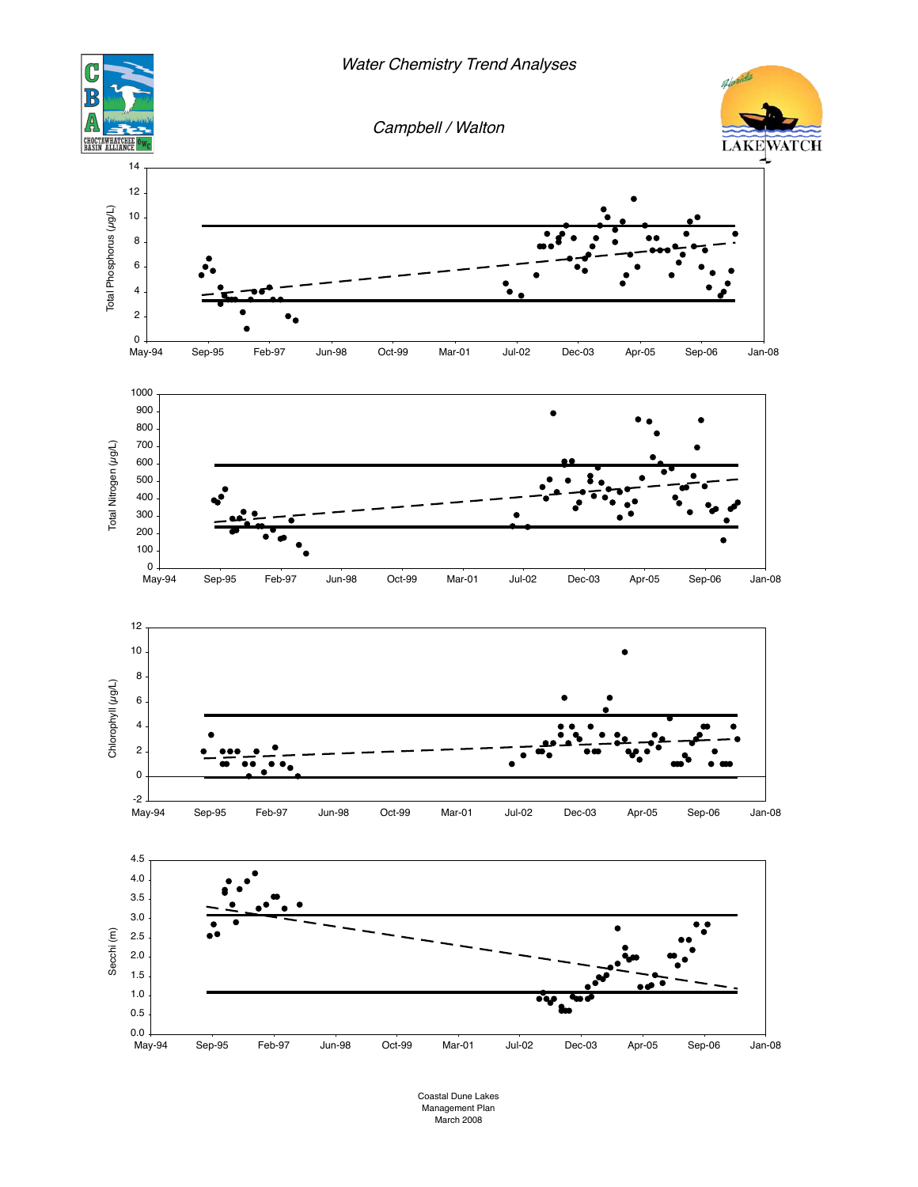

Coastal Dune Lakes Management Plan March 2008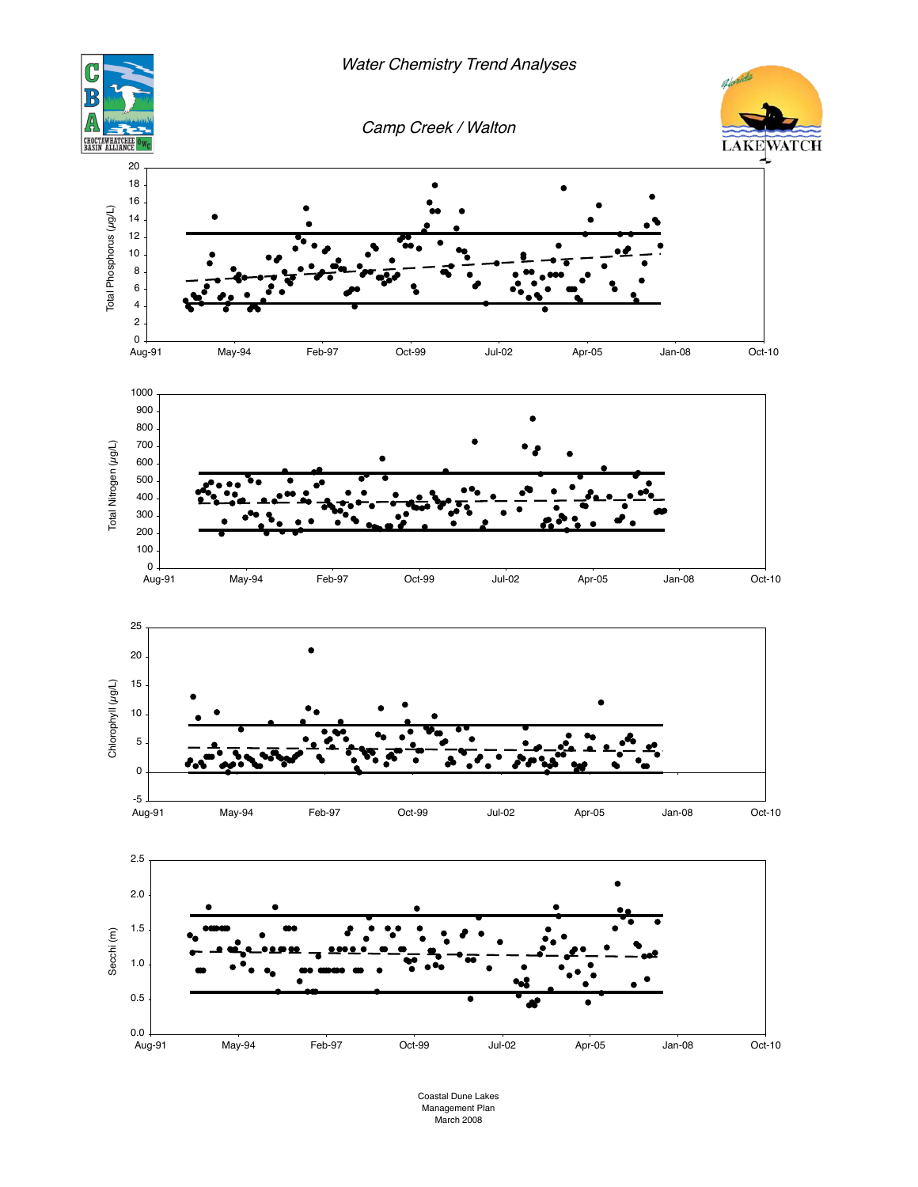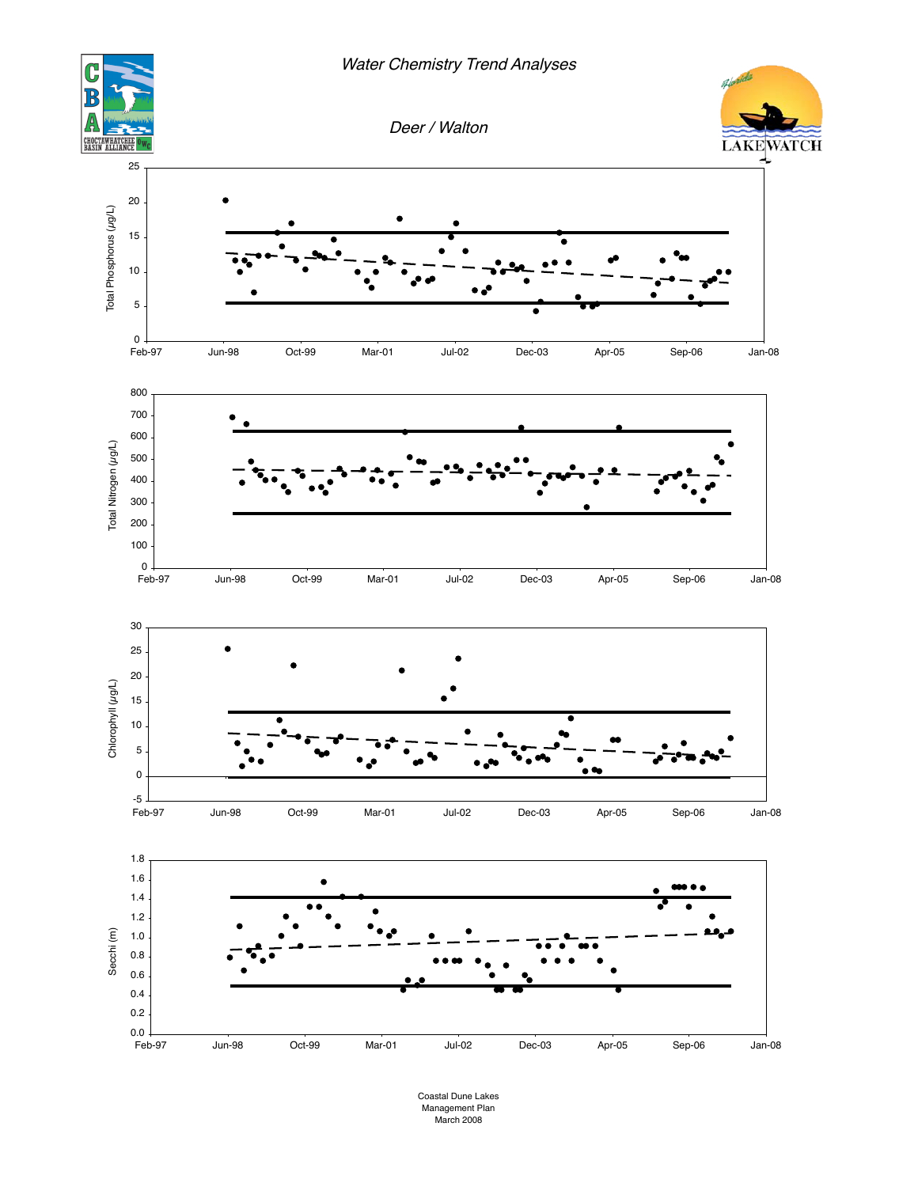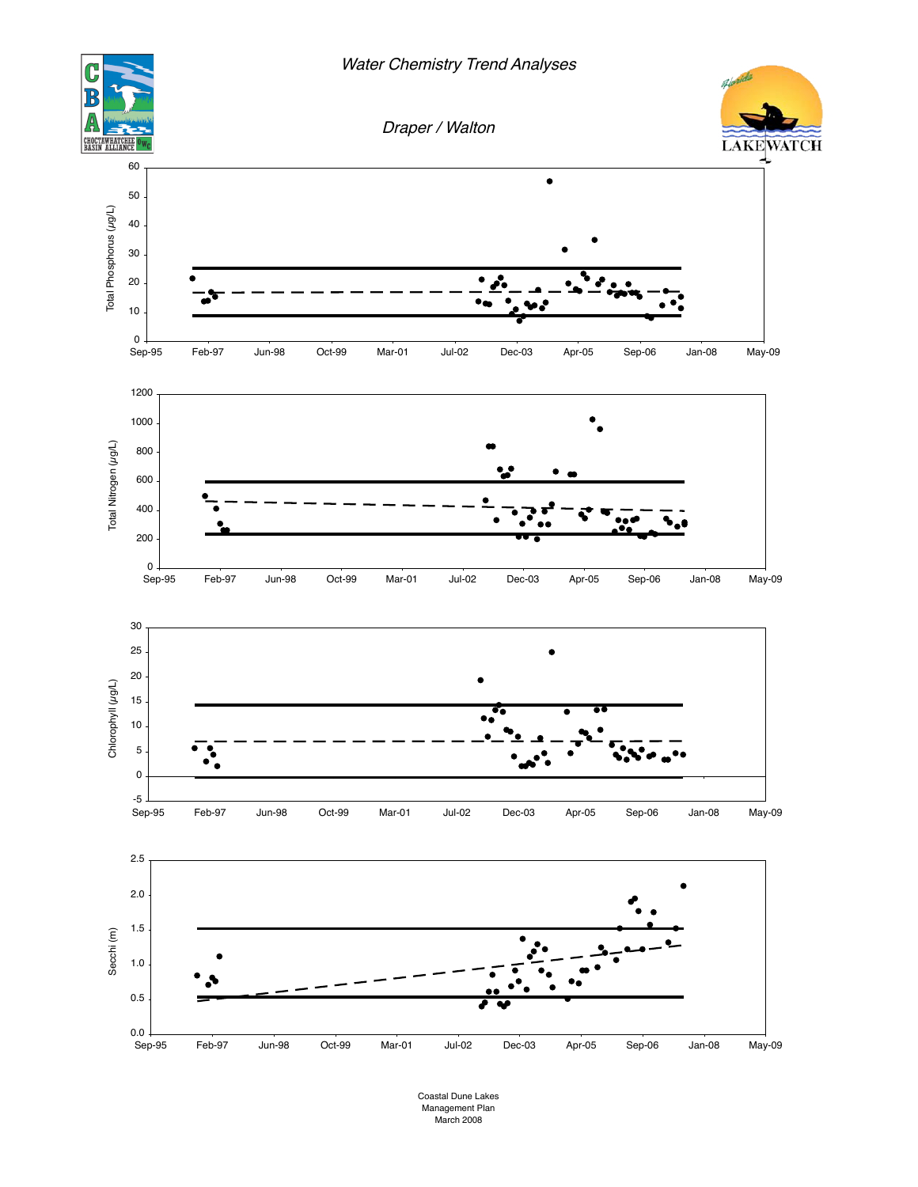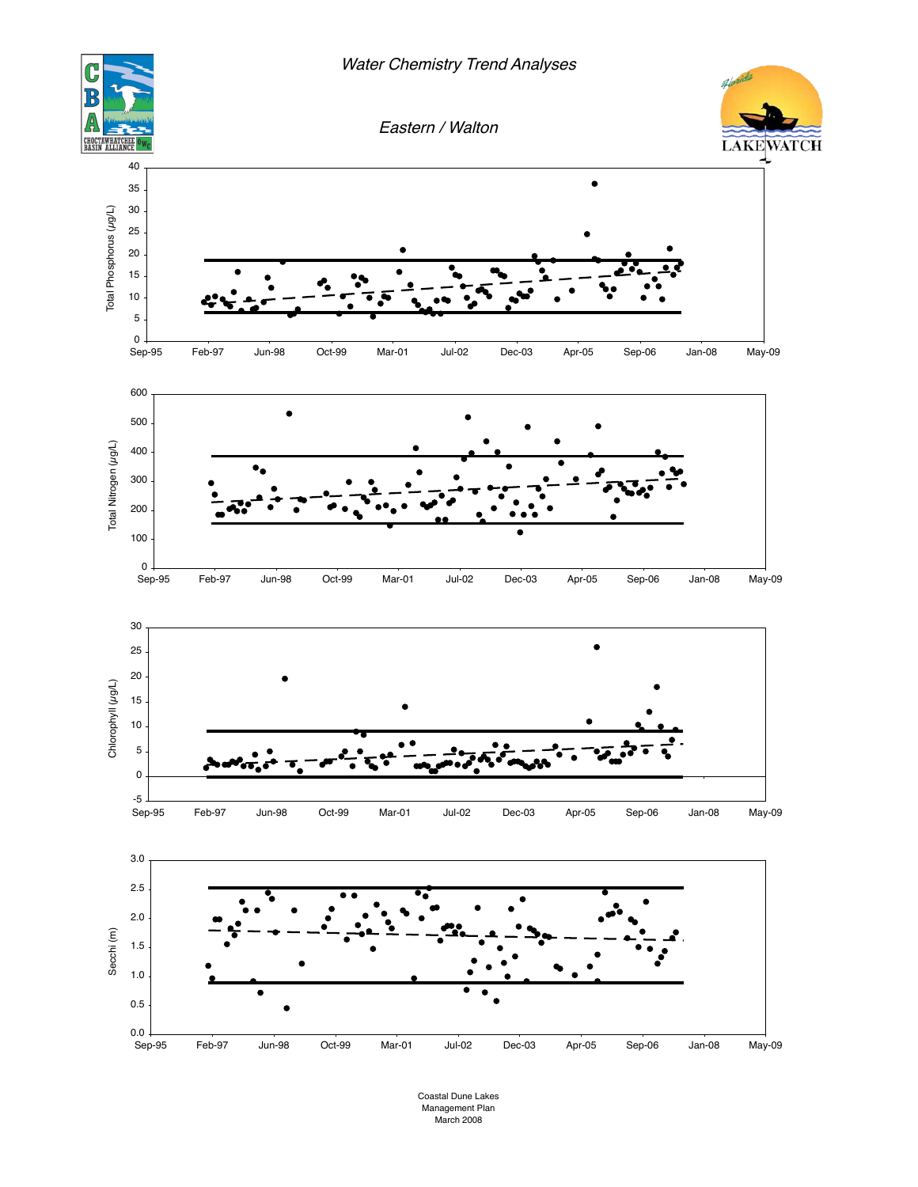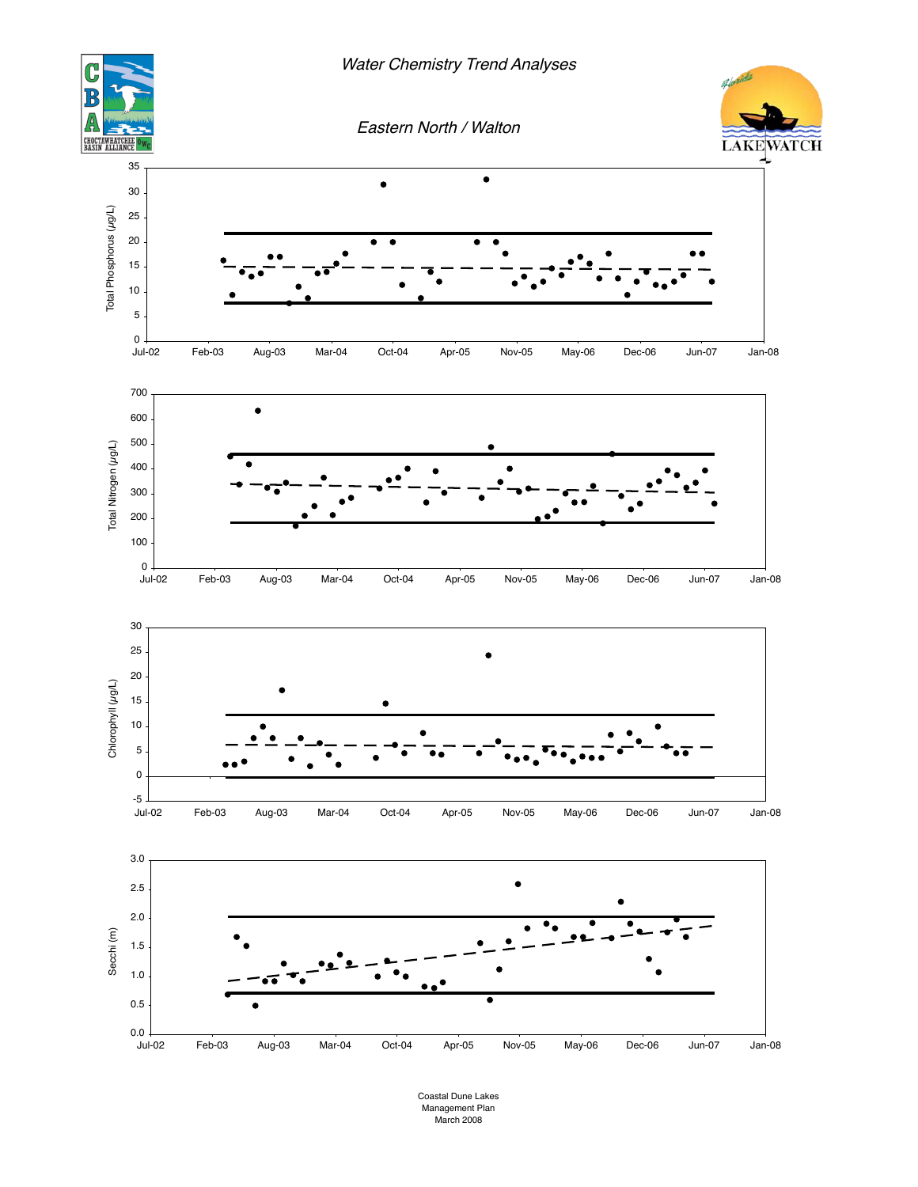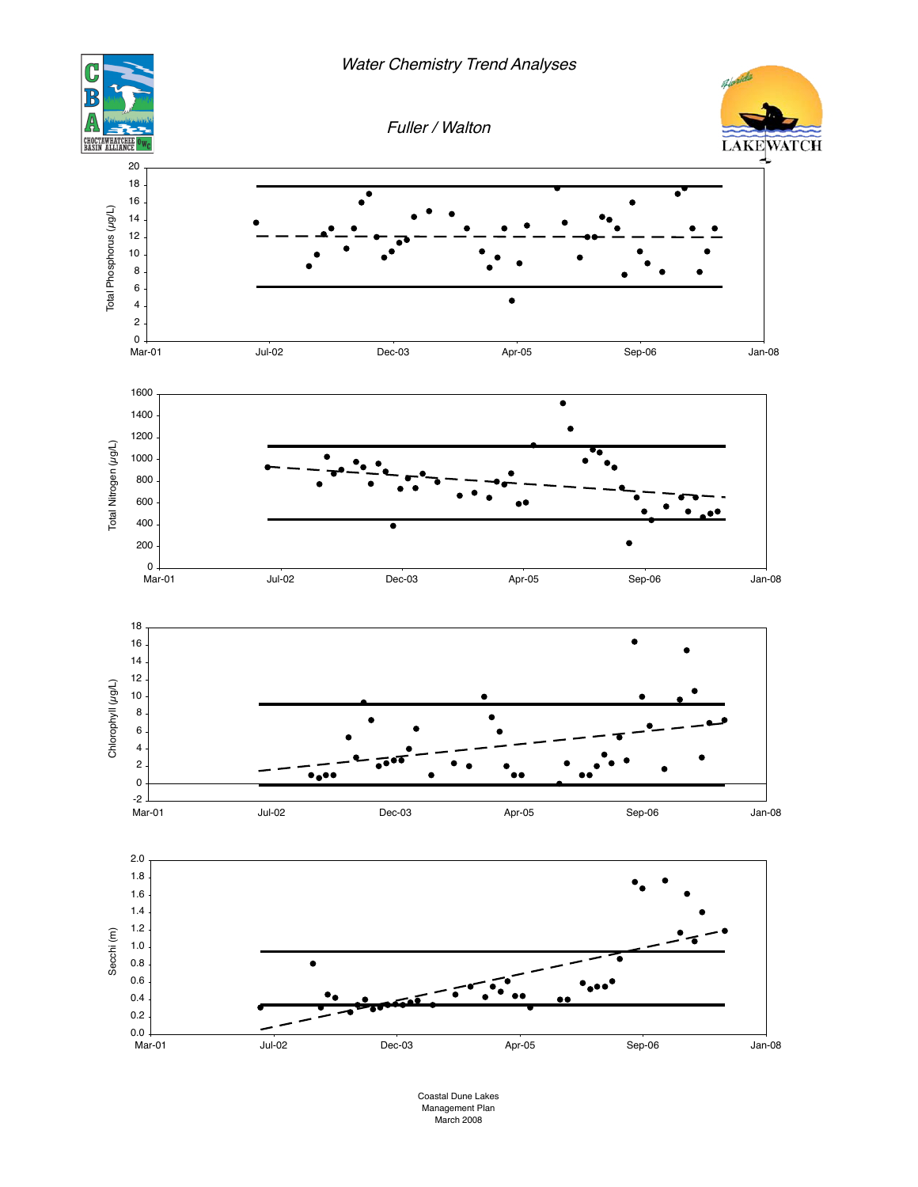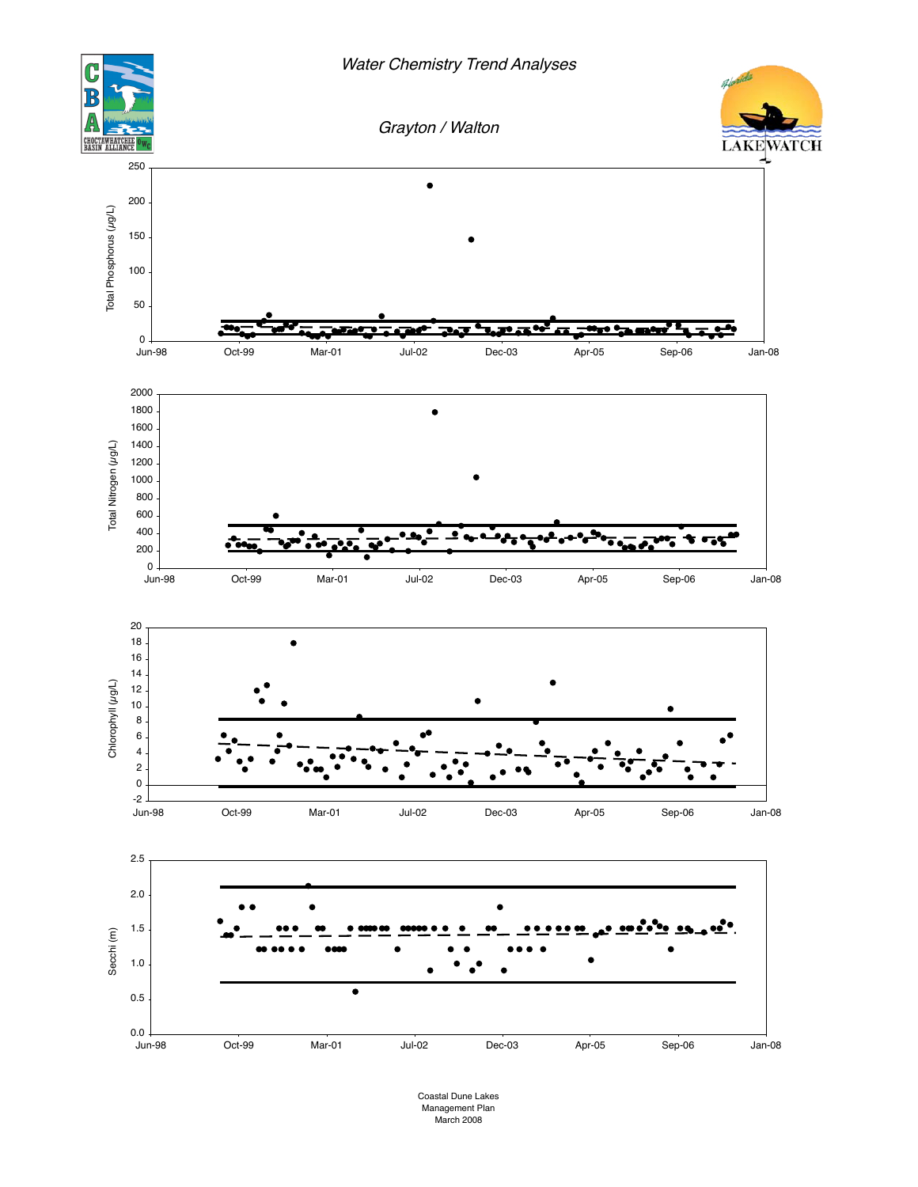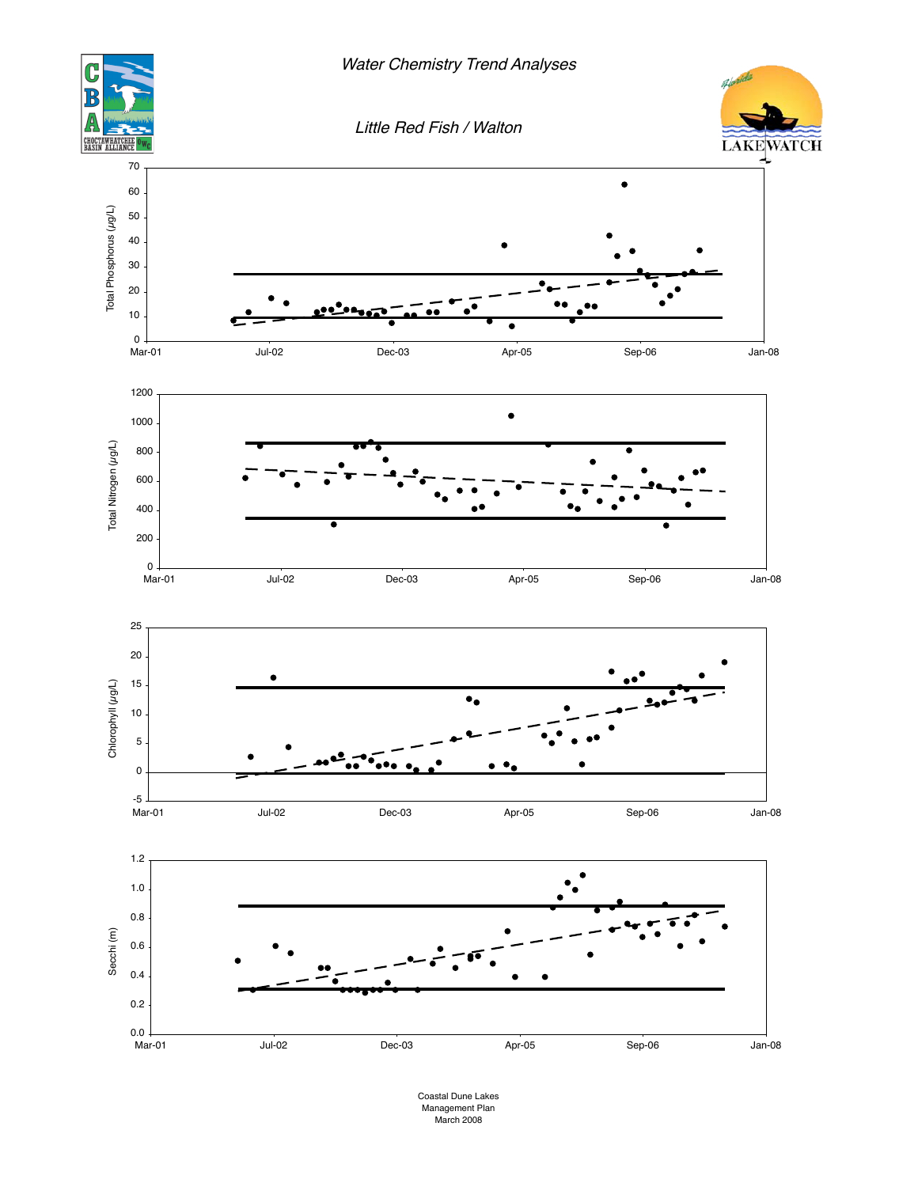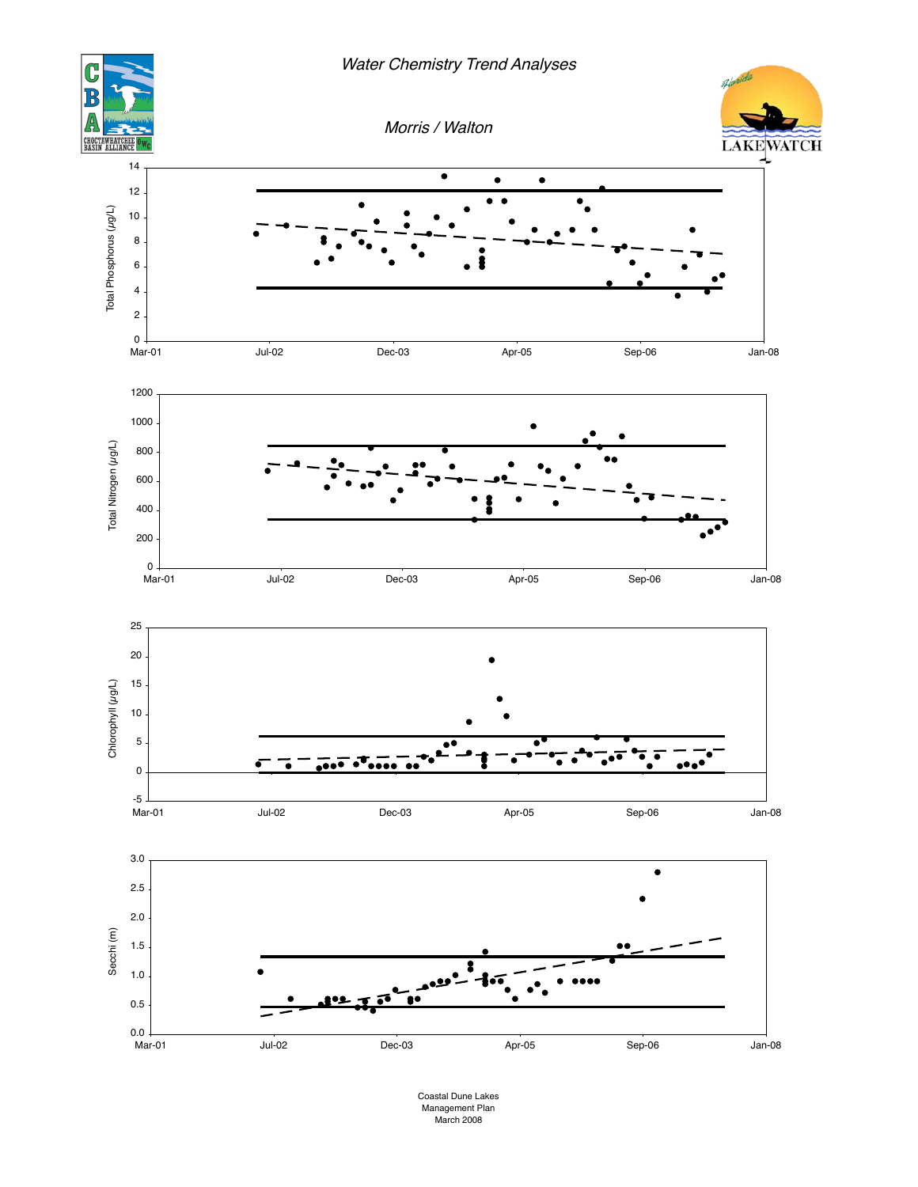

Coastal Dune Lakes Management Plan March 2008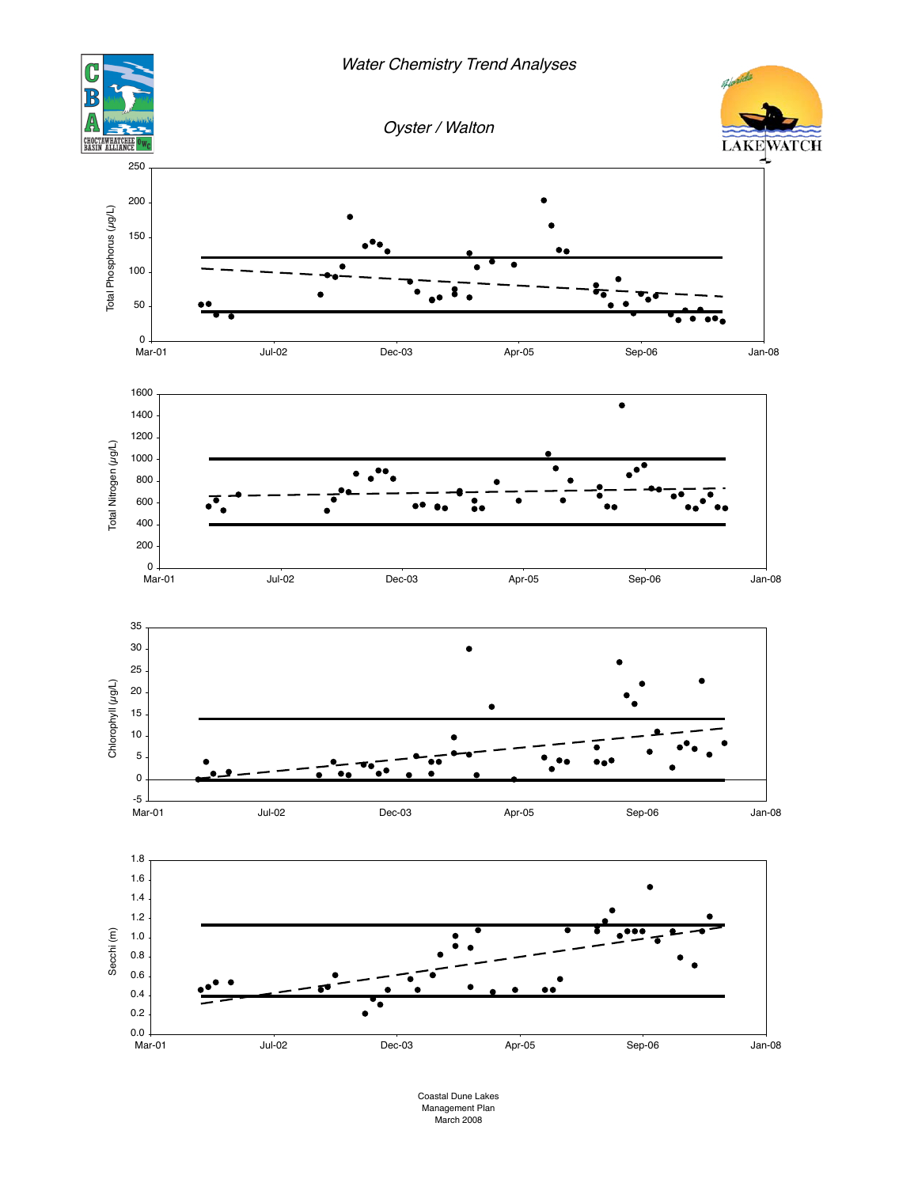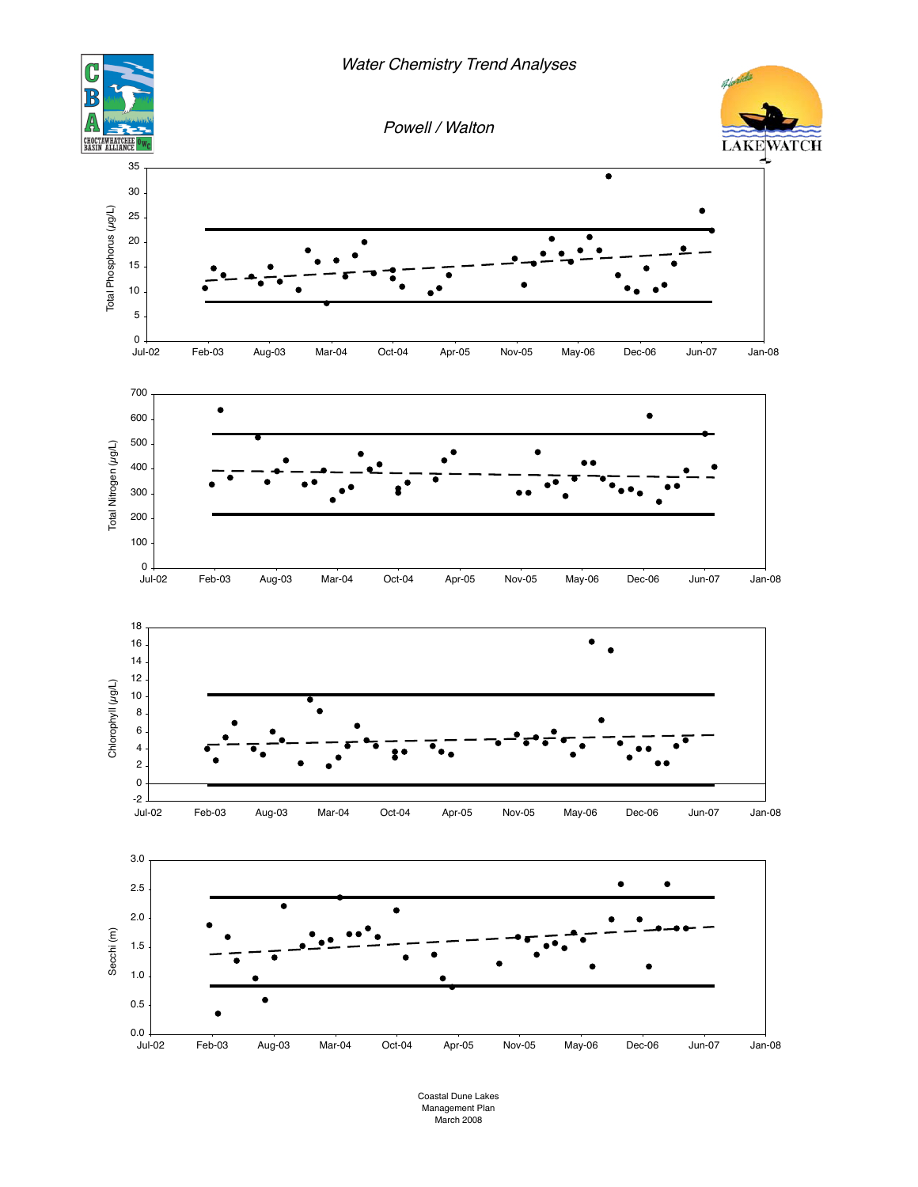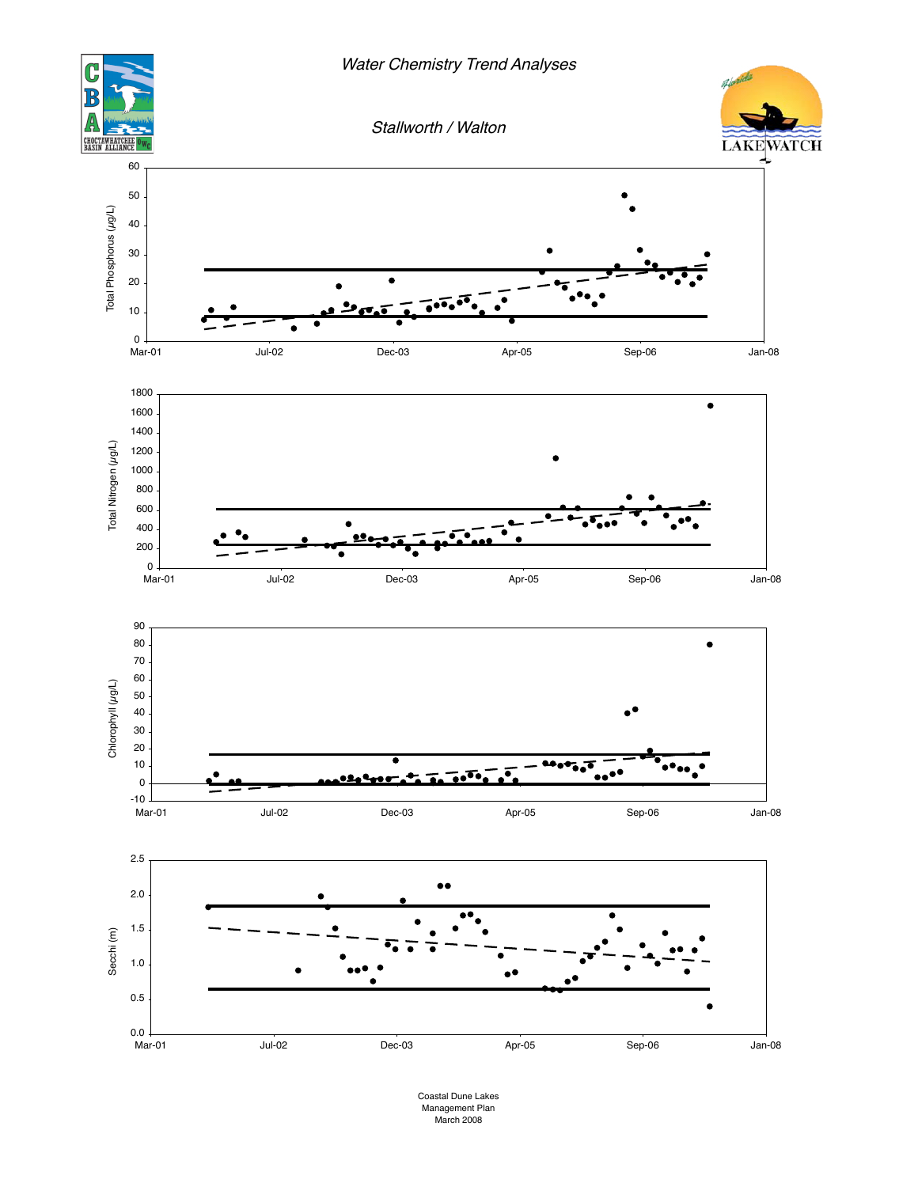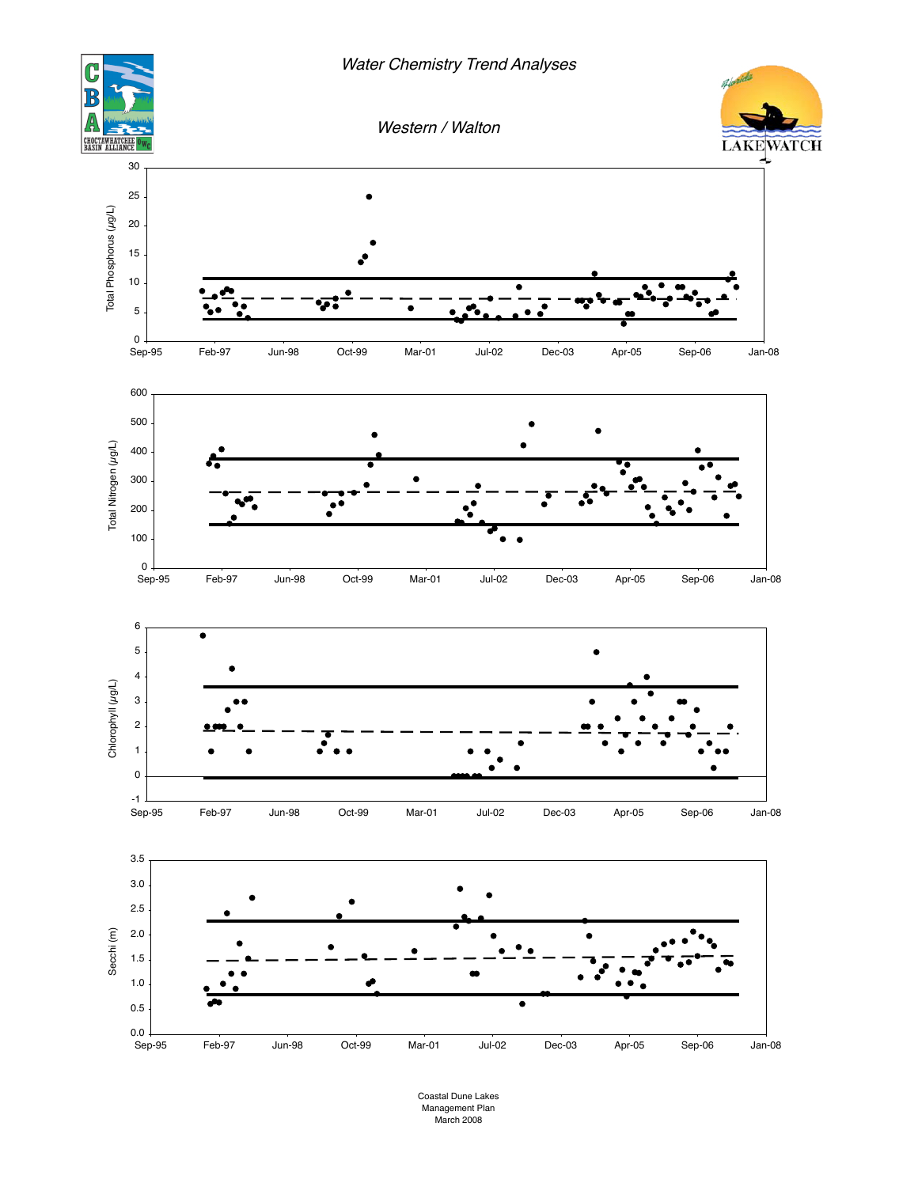